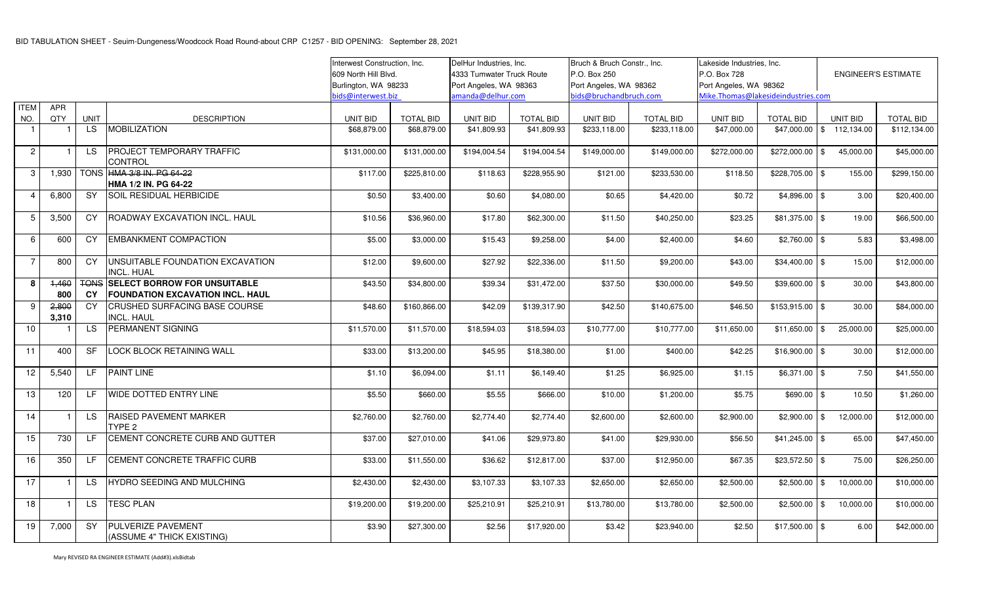|                 |                |                          | Interwest Construction, Inc.                                                   |                      | DelHur Industries, Inc.   |                   | Bruch & Bruch Constr., Inc. |                        | Lakeside Industries. Inc. |                                    |                            |                            |                        |
|-----------------|----------------|--------------------------|--------------------------------------------------------------------------------|----------------------|---------------------------|-------------------|-----------------------------|------------------------|---------------------------|------------------------------------|----------------------------|----------------------------|------------------------|
|                 |                |                          | 609 North Hill Blvd.                                                           |                      | 4333 Tumwater Truck Route |                   | P.O. Box 250                |                        | P.O. Box 728              |                                    | <b>ENGINEER'S ESTIMATE</b> |                            |                        |
|                 |                |                          |                                                                                | Burlington, WA 98233 |                           |                   | Port Angeles, WA 98363      |                        | Port Angeles, WA 98362    |                                    | Port Angeles, WA 98362     |                            |                        |
|                 |                |                          |                                                                                | bids@interwest.biz   |                           | amanda@delhur.com |                             | bids@bruchandbruch.com |                           | Mike.Thomas@lakesideindustries.com |                            |                            |                        |
| <b>ITEM</b>     | <b>APR</b>     |                          |                                                                                |                      |                           |                   |                             |                        |                           |                                    |                            |                            |                        |
| NO.             | QTY            | <b>UNIT</b>              | <b>DESCRIPTION</b>                                                             | UNIT BID             | <b>TOTAL BID</b>          | <b>UNIT BID</b>   | <b>TOTAL BID</b>            | UNIT BID               | <b>TOTAL BID</b>          | UNIT BID                           | <b>TOTAL BID</b>           | UNIT BID                   | <b>TOTAL BID</b>       |
| $\overline{1}$  |                | LS.                      | <b>MOBILIZATION</b>                                                            | \$68,879.00          | \$68,879.00               | \$41.809.93       | \$41,809.93                 | \$233.118.00           | \$233.118.00              | \$47,000.00                        | \$47,000.00                | \$112,134.00               | \$112,134.00           |
| $\overline{c}$  |                | LS.                      | PROJECT TEMPORARY TRAFFIC<br><b>CONTROL</b>                                    | \$131,000.00         | \$131,000.00              | \$194,004.54      | \$194,004.54                | \$149,000.00           | \$149,000.00              | \$272,000.00                       | \$272,000.00               | \$<br>45,000.00            | \$45,000.00            |
| 3               | 1,930          | <b>TONS</b>              | HMA 3/8 IN. PG 64-22<br>HMA 1/2 IN. PG 64-22                                   | \$117.00             | \$225,810.00              | \$118.63          | \$228,955.90                | \$121.00               | \$233,530.00              | \$118.50                           | $$228,705.00$ \ \$         |                            | \$299,150.00<br>155.00 |
| $\overline{4}$  | 6,800          | <b>SY</b>                | SOIL RESIDUAL HERBICIDE                                                        | \$0.50               | \$3,400.00                | \$0.60            | \$4,080.00                  | \$0.65                 | \$4,420.00                | \$0.72                             | $$4,896.00$ \$             |                            | \$20,400.00<br>3.00    |
| 5               | 3,500          | <b>CY</b>                | ROADWAY EXCAVATION INCL. HAUL                                                  | \$10.56              | \$36,960.00               | \$17.80           | \$62,300.00                 | \$11.50                | \$40,250.00               | \$23.25                            | $$81,375.00$ \$            |                            | \$66,500.00<br>19.00   |
| 6               | 600            | <b>CY</b>                | <b>EMBANKMENT COMPACTION</b>                                                   | \$5.00               | \$3,000.00                | \$15.43           | \$9,258.00                  | \$4.00                 | \$2,400.00                | \$4.60                             | $$2,760.00$ \ \$           |                            | \$3,498.00<br>5.83     |
| $\overline{7}$  | 800            | CY                       | UNSUITABLE FOUNDATION EXCAVATION<br><b>INCL. HUAL</b>                          | \$12.00              | \$9,600.00                | \$27.92           | \$22,336.00                 | \$11.50                | \$9,200.00                | \$43.00                            | $$34,400.00$ \\$           |                            | 15.00<br>\$12,000.00   |
| 8               | 1.460<br>800   | <b>TONS</b><br><b>CY</b> | <b>SELECT BORROW FOR UNSUITABLE</b><br><b>FOUNDATION EXCAVATION INCL. HAUL</b> | \$43.50              | \$34,800.00               | \$39.34           | \$31,472.00                 | \$37.50                | \$30,000.00               | \$49.50                            | $$39,600.00$ \$            |                            | \$43,800.00<br>30.00   |
| 9               | 2,800<br>3,310 | <b>CY</b>                | CRUSHED SURFACING BASE COURSE<br><b>INCL. HAUL</b>                             | \$48.60              | \$160,866.00              | \$42.09           | \$139,317.90                | \$42.50                | \$140,675.00              | \$46.50                            | $$153,915.00$ \$           |                            | 30.00<br>\$84,000.00   |
| 10              |                | LS.                      | <b>PERMANENT SIGNING</b>                                                       | \$11,570.00          | \$11,570.00               | \$18,594.03       | \$18,594.03                 | \$10,777.00            | \$10,777.00               | \$11,650.00                        | \$11,650.00                | 25,000.00<br>\$            | \$25,000.00            |
| 11              | 400            | <b>SF</b>                | <b>LOCK BLOCK RETAINING WALL</b>                                               | \$33.00              | \$13,200.00               | \$45.95           | \$18,380.00                 | \$1.00                 | \$400.00                  | \$42.25                            | $$16,900.00$ \\$           |                            | \$12,000.00<br>30.00   |
| 12              | 5,540          | E                        | <b>PAINT LINE</b>                                                              | \$1.10               | \$6,094.00                | \$1.11            | \$6,149.40                  | \$1.25                 | \$6,925.00                | \$1.15                             | $$6,371.00$ \$             |                            | 7.50<br>\$41,550.00    |
| 13              | 120            | LF.                      | <b>WIDE DOTTED ENTRY LINE</b>                                                  | \$5.50               | \$660.00                  | \$5.55            | \$666.00                    | \$10.00                | \$1,200.00                | \$5.75                             | $$690.00$ \$               |                            | 10.50<br>\$1,260.00    |
| 14              |                | LS.                      | <b>RAISED PAVEMENT MARKER</b><br>TYPE <sub>2</sub>                             | \$2,760.00           | \$2,760.00                | \$2,774.40        | \$2,774.40                  | \$2,600.00             | \$2,600.00                | \$2,900.00                         | $$2,900.00$ \$             | 12,000.00                  | \$12,000.00            |
| 15              | 730            | LF                       | CEMENT CONCRETE CURB AND GUTTER                                                | \$37.00              | \$27,010.00               | \$41.06           | \$29,973.80                 | \$41.00                | \$29,930.00               | \$56.50                            | $$41,245.00$ \\$           |                            | \$47,450.00<br>65.00   |
| 16              | 350            | LF.                      | CEMENT CONCRETE TRAFFIC CURB                                                   | \$33.00              | \$11,550.00               | \$36.62           | \$12,817.00                 | \$37.00                | \$12,950.00               | \$67.35                            | $$23,572.50$ \\$           |                            | 75.00<br>\$26,250.00   |
| $\overline{17}$ |                | LS.                      | HYDRO SEEDING AND MULCHING                                                     | \$2,430.00           | \$2,430.00                | \$3,107.33        | \$3,107.33                  | \$2,650.00             | \$2,650.00                | \$2,500.00                         | \$2,500.00                 | $\mathfrak s$<br>10,000.00 | \$10,000.00            |
| 18              |                | LS.                      | <b>TESC PLAN</b>                                                               | \$19,200.00          | \$19,200.00               | \$25,210.91       | \$25,210.91                 | \$13,780.00            | \$13,780.00               | \$2,500.00                         | \$2,500.00                 | $\mathfrak s$<br>10,000.00 | \$10,000.00            |
| 19              | 7,000          | <b>SY</b>                | PULVERIZE PAVEMENT<br>(ASSUME 4" THICK EXISTING)                               | \$3.90               | \$27,300.00               | \$2.56            | \$17,920.00                 | \$3.42                 | \$23,940.00               | \$2.50                             | $$17,500.00$ \\$           |                            | \$42,000.00<br>6.00    |